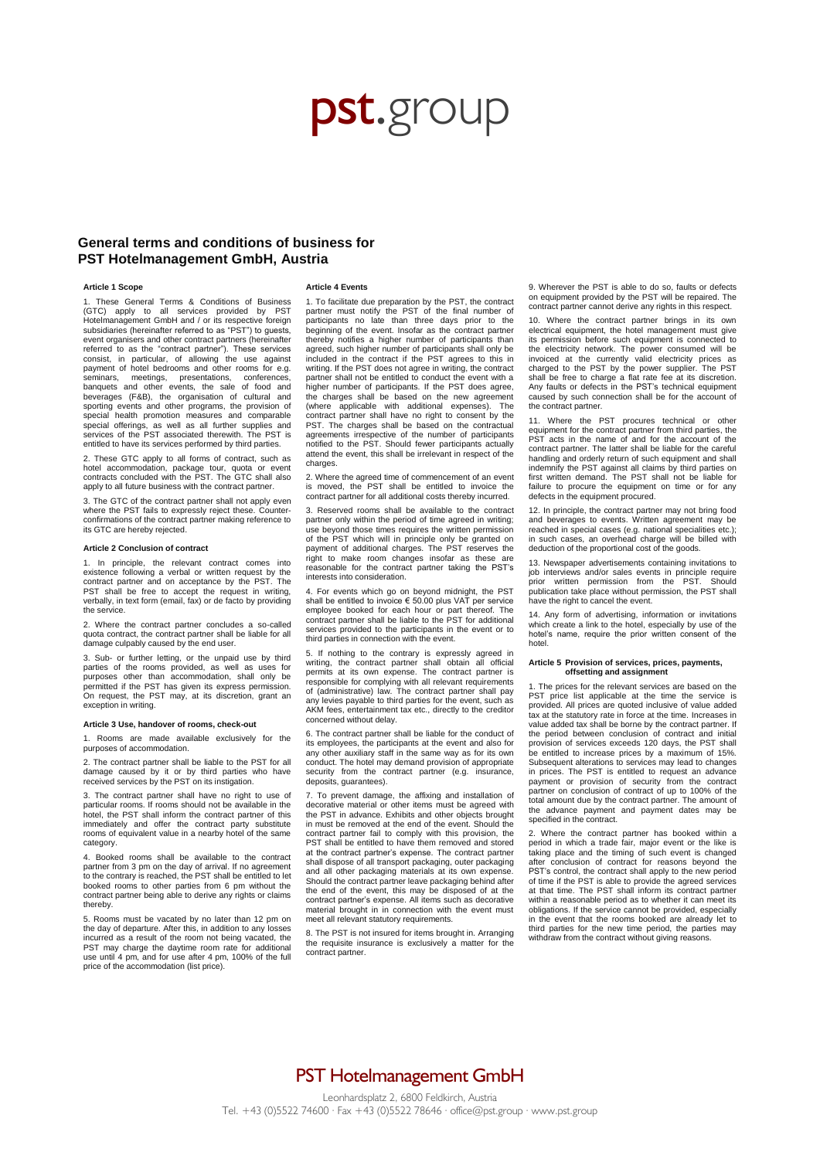# pst.group

### **General terms and conditions of business for PST Hotelmanagement GmbH, Austria**

### **Article 1 Scope**

These General Terms & Conditions of Business (GTC) apply to all services provided by PST Hotelmanagement GmbH and / or its respective foreign subsidiaries (hereinafter referred to as "PST") to guests, event organisers and other contract partners (hereinafter referred to as the "contract partner"). These services consist, in particular, of allowing the use against payment of hotel bedrooms and other rooms for e.g. seminars, meetings, presentations, conferences, banquets and other events, the sale of food and beverages (F&B), the organisation of cultural and sporting events and other programs, the provision of special health promotion measures and comparable special offerings, as well as all further supplies and services of the PST associated therewith. The PST is entitled to have its services performed by third parties.

2. These GTC apply to all forms of contract, such as hotel accommodation, package tour, quota or event contracts concluded with the PST. The GTC shall also apply to all future business with the contract partner

3. The GTC of the contract partner shall not apply even where the PST fails to expressly reject these. Counterconfirmations of the contract partner making reference to its GTC are hereby rejected.

### **Article 2 Conclusion of contract**

1. In principle, the relevant contract comes into existence following a verbal or written request by the contract partner and on acceptance by the PST. The PST shall be free to accept the request in writing, verbally, in text form (email, fax) or de facto by providing the service.

2. Where the contract partner concludes a so-called quota contract, the contract partner shall be liable for all damage culpably caused by the end user.

3. Sub- or further letting, or the unpaid use by third parties of the rooms provided, as well as uses for purposes other than accommodation, shall only be permitted if the PST has given its express permission. On request, the PST may, at its discretion, grant an exception in writing.

### **Article 3 Use, handover of rooms, check-out**

1. Rooms are made available exclusively for the purposes of accommodation.

2. The contract partner shall be liable to the PST for all damage caused by it or by third parties who have received services by the PST on its instigation.

3. The contract partner shall have no right to use of particular rooms. If rooms should not be available in the hotel, the PST shall inform the contract partner of this immediately and offer the contract party substitute rooms of equivalent value in a nearby hotel of the same category.

4. Booked rooms shall be available to the contract partner from 3 pm on the day of arrival. If no agreement to the contrary is reached, the PST shall be entitled to let booked rooms to other parties from 6 pm without the contract partner being able to derive any rights or claims thereby.

5. Rooms must be vacated by no later than 12 pm on the day of departure. After this, in addition to any losses incurred as a result of the room not being vacated, the PST may charge the daytime room rate for additional use until 4 pm, and for use after 4 pm, 100% of the full price of the accommodation (list price).

#### **Article 4 Events**

1. To facilitate due preparation by the PST, the contract partner must notify the PST of the final number of participants no late than three days prior to the beginning of the event. Insofar as the contract partner thereby notifies a higher number of participants than agreed, such higher number of participants shall only be included in the contract if the PST agrees to this in writing. If the PST does not agree in writing, the contract partner shall not be entitled to conduct the event with a higher number of participants. If the PST does agree, the charges shall be based on the new agreement (where applicable with additional expenses). The contract partner shall have no right to consent by the PST. The charges shall be based on the contractual agreements irrespective of the number of participants notified to the PST. Should fewer participants actually attend the event, this shall be irrelevant in respect of the charges.

2. Where the agreed time of commencement of an event is moved, the PST shall be entitled to invoice the contract partner for all additional costs thereby incurred.

3. Reserved rooms shall be available to the contract partner only within the period of time agreed in writing; use beyond those times requires the written permission of the PST which will in principle only be granted on payment of additional charges. The PST reserves the right to make room changes insofar as these are reasonable for the contract partner taking the PST's interests into consideration.

4. For events which go on beyond midnight, the PST shall be entitled to invoice € 50.00 plus VAT per service employee booked for each hour or part thereof. The contract partner shall be liable to the PST for additional services provided to the participants in the event or to third parties in connection with the event.

5. If nothing to the contrary is expressly agreed in writing, the contract partner shall obtain all official permits at its own expense. The contract partner is responsible for complying with all relevant requirements of (administrative) law. The contract partner shall pay any levies payable to third parties for the event, such as AKM fees, entertainment tax etc., directly to the creditor concerned without delay.

6. The contract partner shall be liable for the conduct of its employees, the participants at the event and also for any other auxiliary staff in the same way as for its own conduct. The hotel may demand provision of appropriate<br>security from the contract partner (e.g. insurance, from the contract partner (e.g. insurance, deposits, guarantees).

7. To prevent damage, the affixing and installation of decorative material or other items must be agreed with the PST in advance. Exhibits and other objects brought in must be removed at the end of the event. Should the contract partner fail to comply with this provision, the PST shall be entitled to have them removed and stored at the contract partner's expense. The contract partner shall dispose of all transport packaging, outer packaging and all other packaging materials at its own expense. Should the contract partner leave packaging behind after the end of the event, this may be disposed of at the contract partner's expense. All items such as decorative material brought in in connection with the event must meet all relevant statutory requirements

8. The PST is not insured for items brought in. Arranging the requisite insurance is exclusively a matter for the contract partner.

9. Wherever the PST is able to do so, faults or defects on equipment provided by the PST will be repaired. The contract partner cannot derive any rights in this respect.

10. Where the contract partner brings in its own electrical equipment, the hotel management must give its permission before such equipment is connected to the electricity network. The power consumed will be<br>invoiced at the currently valid electricity prices as<br>charged to the PST by the power supplier. The PST<br>shall be free to charge a flat rate fee at its discretion.<br>Any fau caused by such connection shall be for the account of the contract partner.

11. Where the PST procures technical or other equipment for the contract partner from third parties, the PST acts in the name of and for the account of the contract partner. The latter shall be liable for the careful handling and orderly return of such equipment and shall indemnify the PST against all claims by third parties on first written demand. The PST shall not be liable for failure to procure the equipment on time or for any defects in the equipment procured.

12. In principle, the contract partner may not bring food and beverages to events. Written agreement may be reached in special cases (e.g. national specialities etc.); in such cases, an overhead charge will be billed with deduction of the proportional cost of the goods.

13. Newspaper advertisements containing invitations to job interviews and/or sales events in principle require prior written permission from the PST. Should publication take place without permission, the PST shall have the right to cancel the event.

14. Any form of advertising, information or invitations which create a link to the hotel, especially by use of the hotel's name, require the prior written consent of the hotel.

### **Article 5 Provision of services, prices, payments, offsetting and assignment**

1. The prices for the relevant services are based on the PST price list applicable at the time the service is provided. All prices are quoted inclusive of value added tax at the statutory rate in force at the time. Increases in value added tax shall be borne by the contract partner. If the period between conclusion of contract and initial provision of services exceeds 120 days, the PST shall be entitled to increase prices by a maximum of 15%. Subsequent alterations to services may lead to changes in prices. The PST is entitled to request an advance payment or provision of security from the contract partner on conclusion of contract of up to 100% of the total amount due by the contract partner. The amount of the advance payment and payment dates may be specified in the contract.

2. Where the contract partner has booked within a period in which a trade fair, major event or the like is taking place and the timing of such event is changed after conclusion of contract for reasons beyond the PST's control, the contract shall apply to the new period of time if the PST is able to provide the agreed services at that time. The PST shall inform its contract partner within a reasonable period as to whether it can meet its obligations. If the service cannot be provided, especially in the event that the rooms booked are already let to third parties for the new time period, the parties may withdraw from the contract without giving reasons.

## PST Hotelmanagement GmbH